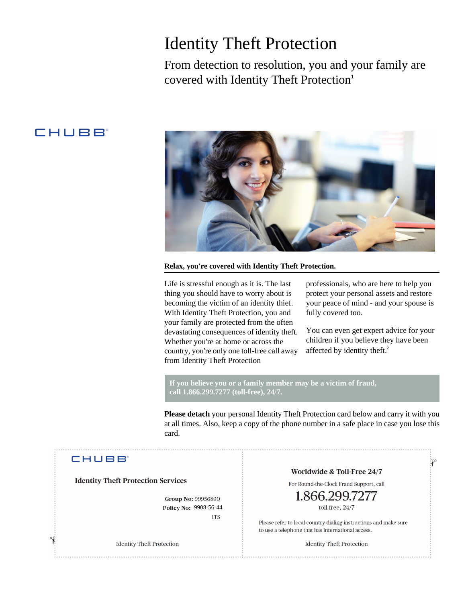## Identity Theft Protection

From detection to resolution, you and your family are covered with Identity Theft Protection<sup>1</sup>

## CHUBB



**Relax, you're covered with Identity Theft Protection.**

Life is stressful enough as it is. The last thing you should have to worry about is becoming the victim of an identity thief. With Identity Theft Protection, you and your family are protected from the often devastating consequences of identity theft. Whether you're at home or across the country, you're only one toll-free call away from Identity Theft Protection

professionals, who are here to help you protect your personal assets and restore your peace of mind - and your spouse is fully covered too.

You can even get expert advice for your children if you believe they have been affected by identity theft.<sup>2</sup>

 $\mathcal{X}$ 

**If you believe you or a family member may be a victim of fraud, call 1.866.299.7277 (toll-free), 24/7.**

**Please detach** your personal Identity Theft Protection card below and carry it with you at all times. Also, keep a copy of the phone number in a safe place in case you lose this card.

### **CHUBB**

**Identity Theft Protection Services** 

**Group No: 99956890** Policy No: 9908-56-44 **ITS** 

**Identity Theft Protection** 

Worldwide & Toll-Free 24/7

For Round-the-Clock Fraud Support, call

# toll free, 24/7

Please refer to local country dialing instructions and make sure to use a telephone that has international access.

**Identity Theft Protection**